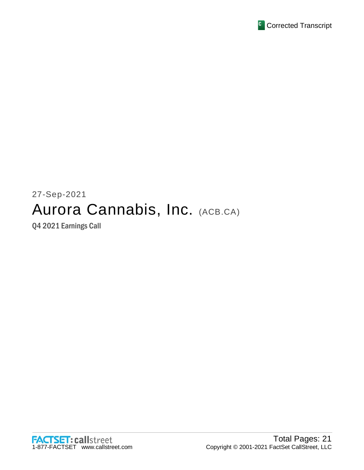

# 27-Sep-2021 Aurora Cannabis, Inc. (ACB.CA)

Q4 2021 Earnings Call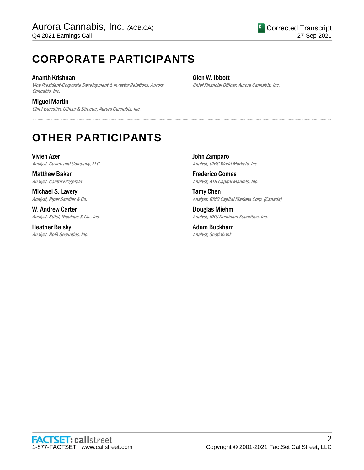## **CORPORATE PARTICIPANTS**

Ananth Krishnan Vice President-Corporate Development & Investor Relations, Aurora Cannabis, Inc.

Miguel Martin Chief Executive Officer & Director, Aurora Cannabis, Inc. Glen W. Ibbott

.....................................................................................................................................................................................................................................................................

Chief Financial Officer, Aurora Cannabis, Inc.

## **OTHER PARTICIPANTS**

Vivien Azer Analyst, Cowen and Company, LLC

Matthew Baker Analyst, Cantor Fitzgerald

Michael S. Lavery Analyst, Piper Sandler & Co.

W. Andrew Carter Analyst, Stifel, Nicolaus & Co., Inc.

Heather Balsky Analyst, BofA Securities, Inc. John Zamparo Analyst, CIBC World Markets, Inc.

Frederico Gomes Analyst, ATB Capital Markets, Inc.

Tamy Chen Analyst, BMO Capital Markets Corp. (Canada)

Douglas Miehm Analyst, RBC Dominion Securities, Inc.

Adam Buckham Analyst, Scotiabank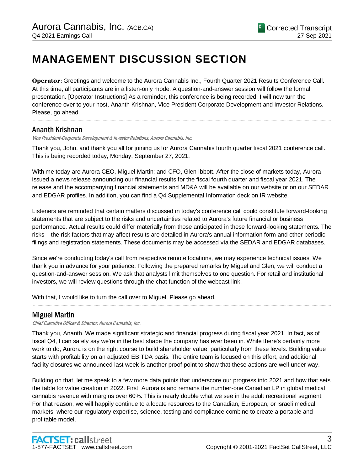## **MANAGEMENT DISCUSSION SECTION**

**Operator**: Greetings and welcome to the Aurora Cannabis Inc., Fourth Quarter 2021 Results Conference Call. At this time, all participants are in a listen-only mode. A question-and-answer session will follow the formal presentation. [Operator Instructions] As a reminder, this conference is being recorded. I will now turn the conference over to your host, Ananth Krishnan, Vice President Corporate Development and Investor Relations. Please, go ahead.

.....................................................................................................................................................................................................................................................................

### Ananth Krishnan

Vice President-Corporate Development & Investor Relations, Aurora Cannabis, Inc.

Thank you, John, and thank you all for joining us for Aurora Cannabis fourth quarter fiscal 2021 conference call. This is being recorded today, Monday, September 27, 2021.

With me today are Aurora CEO, Miguel Martin; and CFO, Glen Ibbott. After the close of markets today, Aurora issued a news release announcing our financial results for the fiscal fourth quarter and fiscal year 2021. The release and the accompanying financial statements and MD&A will be available on our website or on our SEDAR and EDGAR profiles. In addition, you can find a Q4 Supplemental Information deck on IR website.

Listeners are reminded that certain matters discussed in today's conference call could constitute forward-looking statements that are subject to the risks and uncertainties related to Aurora's future financial or business performance. Actual results could differ materially from those anticipated in these forward-looking statements. The risks – the risk factors that may affect results are detailed in Aurora's annual information form and other periodic filings and registration statements. These documents may be accessed via the SEDAR and EDGAR databases.

Since we're conducting today's call from respective remote locations, we may experience technical issues. We thank you in advance for your patience. Following the prepared remarks by Miguel and Glen, we will conduct a question-and-answer session. We ask that analysts limit themselves to one question. For retail and institutional investors, we will review questions through the chat function of the webcast link.

.....................................................................................................................................................................................................................................................................

With that, I would like to turn the call over to Miguel. Please go ahead.

## Miguel Martin

Chief Executive Officer & Director, Aurora Cannabis, Inc.

Thank you, Ananth. We made significant strategic and financial progress during fiscal year 2021. In fact, as of fiscal Q4, I can safely say we're in the best shape the company has ever been in. While there's certainly more work to do, Aurora is on the right course to build shareholder value, particularly from these levels. Building value starts with profitability on an adjusted EBITDA basis. The entire team is focused on this effort, and additional facility closures we announced last week is another proof point to show that these actions are well under way.

Building on that, let me speak to a few more data points that underscore our progress into 2021 and how that sets the table for value creation in 2022. First, Aurora is and remains the number-one Canadian LP in global medical cannabis revenue with margins over 60%. This is nearly double what we see in the adult recreational segment. For that reason, we will happily continue to allocate resources to the Canadian, European, or Israeli medical markets, where our regulatory expertise, science, testing and compliance combine to create a portable and profitable model.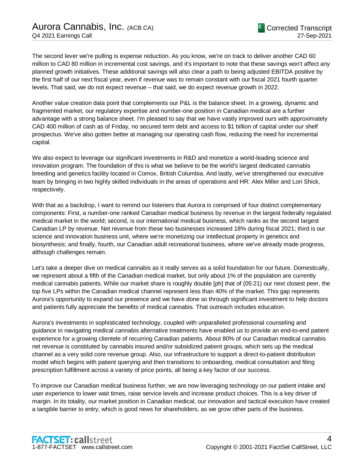The second lever we're pulling is expense reduction. As you know, we're on track to deliver another CAD 60 million to CAD 80 million in incremental cost savings, and it's important to note that these savings won't affect any planned growth initiatives. These additional savings will also clear a path to being adjusted EBITDA positive by the first half of our next fiscal year, even if revenue was to remain constant with our fiscal 2021 fourth quarter levels. That said, we do not expect revenue – that said, we do expect revenue growth in 2022.

Another value creation data point that complements our P&L is the balance sheet. In a growing, dynamic and fragmented market, our regulatory expertise and number-one position in Canadian medical are a further advantage with a strong balance sheet. I'm pleased to say that we have vastly improved ours with approximately CAD 400 million of cash as of Friday, no secured term debt and access to \$1 billion of capital under our shelf prospectus. We've also gotten better at managing our operating cash flow, reducing the need for incremental capital.

We also expect to leverage our significant investments in R&D and monetize a world-leading science and innovation program. The foundation of this is what we believe to be the world's largest dedicated cannabis breeding and genetics facility located in Comox, British Columbia. And lastly, we've strengthened our executive team by bringing in two highly skilled individuals in the areas of operations and HR: Alex Miller and Lori Shick, respectively.

With that as a backdrop, I want to remind our listeners that Aurora is comprised of four distinct complementary components: First, a number-one ranked Canadian medical business by revenue in the largest federally regulated medical market in the world; second, is our international medical business, which ranks as the second largest Canadian LP by revenue. Net revenue from these two businesses increased 18% during fiscal 2021; third is our science and innovation business unit, where we're monetizing our intellectual property in genetics and biosynthesis; and finally, fourth, our Canadian adult recreational business, where we've already made progress, although challenges remain.

Let's take a deeper dive on medical cannabis as it really serves as a solid foundation for our future. Domestically, we represent about a fifth of the Canadian medical market, but only about 1% of the population are currently medical cannabis patients. While our market share is roughly double [ph] that of (05:21) our next closest peer, the top five LPs within the Canadian medical channel represent less than 40% of the market. This gap represents Aurora's opportunity to expand our presence and we have done so through significant investment to help doctors and patients fully appreciate the benefits of medical cannabis. That outreach includes education.

Aurora's investments in sophisticated technology, coupled with unparalleled professional counseling and guidance in navigating medical cannabis alternative treatments have enabled us to provide an end-to-end patient experience for a growing clientele of recurring Canadian patients. About 80% of our Canadian medical cannabis net revenue is constituted by cannabis insured and/or subsidized patient groups, which sets up the medical channel as a very solid core revenue group. Also, our infrastructure to support a direct-to-patient distribution model which begins with patient querying and then transitions to onboarding, medical consultation and filing prescription fulfillment across a variety of price points, all being a key factor of our success.

To improve our Canadian medical business further, we are now leveraging technology on our patient intake and user experience to lower wait times, raise service levels and increase product choices. This is a key driver of margin. In its totality, our market position in Canadian medical, our innovation and tactical execution have created a tangible barrier to entry, which is good news for shareholders, as we grow other parts of the business.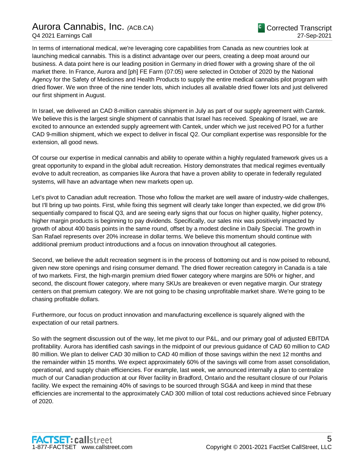In terms of international medical, we're leveraging core capabilities from Canada as new countries look at launching medical cannabis. This is a distinct advantage over our peers, creating a deep moat around our business. A data point here is our leading position in Germany in dried flower with a growing share of the oil market there. In France, Aurora and [ph] FE Farm (07:05) were selected in October of 2020 by the National Agency for the Safety of Medicines and Health Products to supply the entire medical cannabis pilot program with dried flower. We won three of the nine tender lots, which includes all available dried flower lots and just delivered our first shipment in August.

In Israel, we delivered an CAD 8-million cannabis shipment in July as part of our supply agreement with Cantek. We believe this is the largest single shipment of cannabis that Israel has received. Speaking of Israel, we are excited to announce an extended supply agreement with Cantek, under which we just received PO for a further CAD 9-million shipment, which we expect to deliver in fiscal Q2. Our compliant expertise was responsible for the extension, all good news.

Of course our expertise in medical cannabis and ability to operate within a highly regulated framework gives us a great opportunity to expand in the global adult recreation. History demonstrates that medical regimes eventually evolve to adult recreation, as companies like Aurora that have a proven ability to operate in federally regulated systems, will have an advantage when new markets open up.

Let's pivot to Canadian adult recreation. Those who follow the market are well aware of industry-wide challenges, but I'll bring up two points. First, while fixing this segment will clearly take longer than expected, we did grow 8% sequentially compared to fiscal Q3, and are seeing early signs that our focus on higher quality, higher potency, higher margin products is beginning to pay dividends. Specifically, our sales mix was positively impacted by growth of about 400 basis points in the same round, offset by a modest decline in Daily Special. The growth in San Rafael represents over 20% increase in dollar terms. We believe this momentum should continue with additional premium product introductions and a focus on innovation throughout all categories.

Second, we believe the adult recreation segment is in the process of bottoming out and is now poised to rebound, given new store openings and rising consumer demand. The dried flower recreation category in Canada is a tale of two markets. First, the high-margin premium dried flower category where margins are 50% or higher, and second, the discount flower category, where many SKUs are breakeven or even negative margin. Our strategy centers on that premium category. We are not going to be chasing unprofitable market share. We're going to be chasing profitable dollars.

Furthermore, our focus on product innovation and manufacturing excellence is squarely aligned with the expectation of our retail partners.

So with the segment discussion out of the way, let me pivot to our P&L, and our primary goal of adjusted EBITDA profitability. Aurora has identified cash savings in the midpoint of our previous guidance of CAD 60 million to CAD 80 million. We plan to deliver CAD 30 million to CAD 40 million of those savings within the next 12 months and the remainder within 15 months. We expect approximately 60% of the savings will come from asset consolidation, operational, and supply chain efficiencies. For example, last week, we announced internally a plan to centralize much of our Canadian production at our River facility in Bradford, Ontario and the resultant closure of our Polaris facility. We expect the remaining 40% of savings to be sourced through SG&A and keep in mind that these efficiencies are incremental to the approximately CAD 300 million of total cost reductions achieved since February of 2020.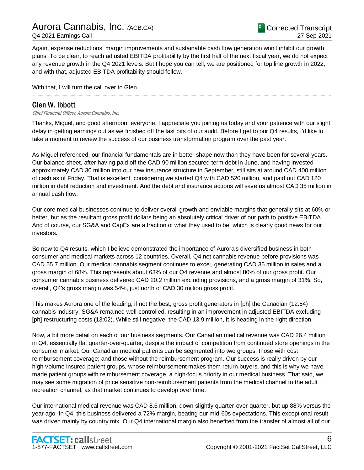Again, expense reductions, margin improvements and sustainable cash flow generation won't inhibit our growth plans. To be clear, to reach adjusted EBITDA profitability by the first half of the next fiscal year, we do not expect any revenue growth in the Q4 2021 levels. But I hope you can tell, we are positioned for top line growth in 2022, and with that, adjusted EBITDA profitability should follow.

With that, I will turn the call over to Glen.

## Glen W. Ibbott

Chief Financial Officer, Aurora Cannabis, Inc.

Thanks, Miguel, and good afternoon, everyone. I appreciate you joining us today and your patience with our slight delay in getting earnings out as we finished off the last bits of our audit. Before I get to our Q4 results, I'd like to take a moment to review the success of our business transformation program over the past year.

.....................................................................................................................................................................................................................................................................

As Miguel referenced, our financial fundamentals are in better shape now than they have been for several years. Our balance sheet, after having paid off the CAD 90 million secured term debt in June, and having invested approximately CAD 30 million into our new insurance structure in September, still sits at around CAD 400 million of cash as of Friday. That is excellent, considering we started Q4 with CAD 520 million, and paid out CAD 120 million in debt reduction and investment. And the debt and insurance actions will save us almost CAD 35 million in annual cash flow.

Our core medical businesses continue to deliver overall growth and enviable margins that generally sits at 60% or better, but as the resultant gross profit dollars being an absolutely critical driver of our path to positive EBITDA. And of course, our SG&A and CapEx are a fraction of what they used to be, which is clearly good news for our investors.

So now to Q4 results, which I believe demonstrated the importance of Aurora's diversified business in both consumer and medical markets across 12 countries. Overall, Q4 net cannabis revenue before provisions was CAD 55.7 million. Our medical cannabis segment continues to excel, generating CAD 35 million in sales and a gross margin of 68%. This represents about 63% of our Q4 revenue and almost 80% of our gross profit. Our consumer cannabis business delivered CAD 20.2 million excluding provisions, and a gross margin of 31%. So, overall, Q4's gross margin was 54%, just north of CAD 30 million gross profit.

This makes Aurora one of the leading, if not the best, gross profit generators in [ph] the Canadian (12:54) cannabis industry. SG&A remained well-controlled, resulting in an improvement in adjusted EBITDA excluding [ph] restructuring costs (13:02). While still negative, the CAD 13.9 million, it is heading in the right direction.

Now, a bit more detail on each of our business segments. Our Canadian medical revenue was CAD 26.4 million in Q4, essentially flat quarter-over-quarter, despite the impact of competition from continued store openings in the consumer market. Our Canadian medical patients can be segmented into two groups: those with cost reimbursement coverage; and those without the reimbursement program. Our success is really driven by our high-volume insured patient groups, whose reimbursement makes them return buyers, and this is why we have made patient groups with reimbursement coverage, a high-focus priority in our medical business. That said, we may see some migration of price sensitive non-reimbursement patients from the medical channel to the adult recreation channel, as that market continues to develop over time.

Our international medical revenue was CAD 8.6 million, down slightly quarter-over-quarter, but up 88% versus the year ago. In Q4, this business delivered a 72% margin, beating our mid-60s expectations. This exceptional result was driven mainly by country mix. Our Q4 international margin also benefited from the transfer of almost all of our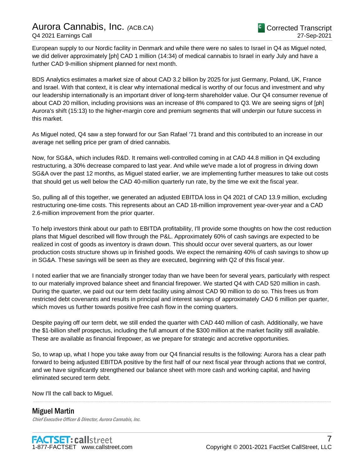European supply to our Nordic facility in Denmark and while there were no sales to Israel in Q4 as Miguel noted, we did deliver approximately [ph] CAD 1 million (14:34) of medical cannabis to Israel in early July and have a further CAD 9-million shipment planned for next month.

BDS Analytics estimates a market size of about CAD 3.2 billion by 2025 for just Germany, Poland, UK, France and Israel. With that context, it is clear why international medical is worthy of our focus and investment and why our leadership internationally is an important driver of long-term shareholder value. Our Q4 consumer revenue of about CAD 20 million, including provisions was an increase of 8% compared to Q3. We are seeing signs of [ph] Aurora's shift (15:13) to the higher-margin core and premium segments that will underpin our future success in this market.

As Miguel noted, Q4 saw a step forward for our San Rafael '71 brand and this contributed to an increase in our average net selling price per gram of dried cannabis.

Now, for SG&A, which includes R&D. It remains well-controlled coming in at CAD 44.8 million in Q4 excluding restructuring, a 30% decrease compared to last year. And while we've made a lot of progress in driving down SG&A over the past 12 months, as Miguel stated earlier, we are implementing further measures to take out costs that should get us well below the CAD 40-million quarterly run rate, by the time we exit the fiscal year.

So, pulling all of this together, we generated an adjusted EBITDA loss in Q4 2021 of CAD 13.9 million, excluding restructuring one-time costs. This represents about an CAD 18-million improvement year-over-year and a CAD 2.6-million improvement from the prior quarter.

To help investors think about our path to EBITDA profitability, I'll provide some thoughts on how the cost reduction plans that Miguel described will flow through the P&L. Approximately 60% of cash savings are expected to be realized in cost of goods as inventory is drawn down. This should occur over several quarters, as our lower production costs structure shows up in finished goods. We expect the remaining 40% of cash savings to show up in SG&A. These savings will be seen as they are executed, beginning with Q2 of this fiscal year.

I noted earlier that we are financially stronger today than we have been for several years, particularly with respect to our materially improved balance sheet and financial firepower. We started Q4 with CAD 520 million in cash. During the quarter, we paid out our term debt facility using almost CAD 90 million to do so. This frees us from restricted debt covenants and results in principal and interest savings of approximately CAD 6 million per quarter, which moves us further towards positive free cash flow in the coming quarters.

Despite paying off our term debt, we still ended the quarter with CAD 440 million of cash. Additionally, we have the \$1-billion shelf prospectus, including the full amount of the \$300 million at the market facility still available. These are available as financial firepower, as we prepare for strategic and accretive opportunities.

So, to wrap up, what I hope you take away from our Q4 financial results is the following: Aurora has a clear path forward to being adjusted EBITDA positive by the first half of our next fiscal year through actions that we control, and we have significantly strengthened our balance sheet with more cash and working capital, and having eliminated secured term debt.

.....................................................................................................................................................................................................................................................................

Now I'll the call back to Miguel.

Miguel Martin Chief Executive Officer & Director, Aurora Cannabis, Inc.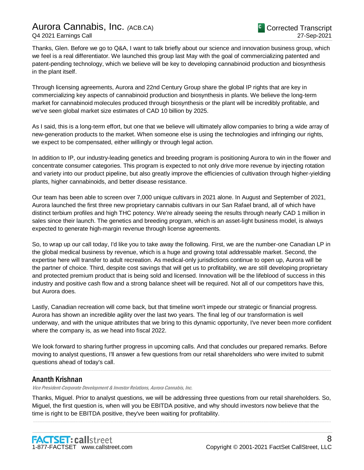Thanks, Glen. Before we go to Q&A, I want to talk briefly about our science and innovation business group, which we feel is a real differentiator. We launched this group last May with the goal of commercializing patented and patent-pending technology, which we believe will be key to developing cannabinoid production and biosynthesis in the plant itself.

Through licensing agreements, Aurora and 22nd Century Group share the global IP rights that are key in commercializing key aspects of cannabinoid production and biosynthesis in plants. We believe the long-term market for cannabinoid molecules produced through biosynthesis or the plant will be incredibly profitable, and we've seen global market size estimates of CAD 10 billion by 2025.

As I said, this is a long-term effort, but one that we believe will ultimately allow companies to bring a wide array of new-generation products to the market. When someone else is using the technologies and infringing our rights, we expect to be compensated, either willingly or through legal action.

In addition to IP, our industry-leading genetics and breeding program is positioning Aurora to win in the flower and concentrate consumer categories. This program is expected to not only drive more revenue by injecting rotation and variety into our product pipeline, but also greatly improve the efficiencies of cultivation through higher-yielding plants, higher cannabinoids, and better disease resistance.

Our team has been able to screen over 7,000 unique cultivars in 2021 alone. In August and September of 2021, Aurora launched the first three new proprietary cannabis cultivars in our San Rafael brand, all of which have distinct terbium profiles and high THC potency. We're already seeing the results through nearly CAD 1 million in sales since their launch. The genetics and breeding program, which is an asset-light business model, is always expected to generate high-margin revenue through license agreements.

So, to wrap up our call today, I'd like you to take away the following. First, we are the number-one Canadian LP in the global medical business by revenue, which is a huge and growing total addressable market. Second, the expertise here will transfer to adult recreation. As medical-only jurisdictions continue to open up, Aurora will be the partner of choice. Third, despite cost savings that will get us to profitability, we are still developing proprietary and protected premium product that is being sold and licensed. Innovation will be the lifeblood of success in this industry and positive cash flow and a strong balance sheet will be required. Not all of our competitors have this, but Aurora does.

Lastly, Canadian recreation will come back, but that timeline won't impede our strategic or financial progress. Aurora has shown an incredible agility over the last two years. The final leg of our transformation is well underway, and with the unique attributes that we bring to this dynamic opportunity, I've never been more confident where the company is, as we head into fiscal 2022.

We look forward to sharing further progress in upcoming calls. And that concludes our prepared remarks. Before moving to analyst questions, I'll answer a few questions from our retail shareholders who were invited to submit questions ahead of today's call.

.....................................................................................................................................................................................................................................................................

## Ananth Krishnan

Vice President-Corporate Development & Investor Relations, Aurora Cannabis, Inc.

Thanks, Miguel. Prior to analyst questions, we will be addressing three questions from our retail shareholders. So, Miguel, the first question is, when will you be EBITDA positive, and why should investors now believe that the time is right to be EBITDA positive, they've been waiting for profitability.

.....................................................................................................................................................................................................................................................................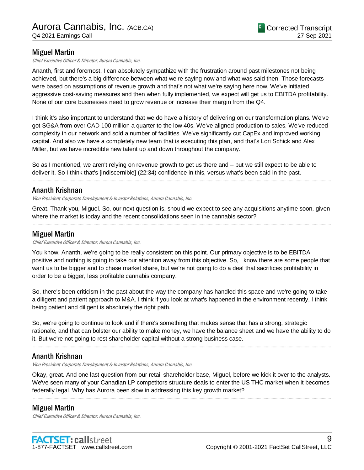## Miguel Martin

Chief Executive Officer & Director, Aurora Cannabis, Inc.

Ananth, first and foremost, I can absolutely sympathize with the frustration around past milestones not being achieved, but there's a big difference between what we're saying now and what was said then. Those forecasts were based on assumptions of revenue growth and that's not what we're saying here now. We've initiated aggressive cost-saving measures and then when fully implemented, we expect will get us to EBITDA profitability. None of our core businesses need to grow revenue or increase their margin from the Q4.

I think it's also important to understand that we do have a history of delivering on our transformation plans. We've got SG&A from over CAD 100 million a quarter to the low 40s. We've aligned production to sales. We've reduced complexity in our network and sold a number of facilities. We've significantly cut CapEx and improved working capital. And also we have a completely new team that is executing this plan, and that's Lori Schick and Alex Miller, but we have incredible new talent up and down throughout the company.

So as I mentioned, we aren't relying on revenue growth to get us there and – but we still expect to be able to deliver it. So I think that's [indiscernible] (22:34) confidence in this, versus what's been said in the past.

## Ananth Krishnan

Vice President-Corporate Development & Investor Relations, Aurora Cannabis, Inc.

Great. Thank you, Miguel. So, our next question is, should we expect to see any acquisitions anytime soon, given where the market is today and the recent consolidations seen in the cannabis sector? .....................................................................................................................................................................................................................................................................

.....................................................................................................................................................................................................................................................................

### Miguel Martin

Chief Executive Officer & Director, Aurora Cannabis, Inc.

You know, Ananth, we're going to be really consistent on this point. Our primary objective is to be EBITDA positive and nothing is going to take our attention away from this objective. So, I know there are some people that want us to be bigger and to chase market share, but we're not going to do a deal that sacrifices profitability in order to be a bigger, less profitable cannabis company.

So, there's been criticism in the past about the way the company has handled this space and we're going to take a diligent and patient approach to M&A. I think if you look at what's happened in the environment recently, I think being patient and diligent is absolutely the right path.

So, we're going to continue to look and if there's something that makes sense that has a strong, strategic rationale, and that can bolster our ability to make money, we have the balance sheet and we have the ability to do it. But we're not going to rest shareholder capital without a strong business case.

.....................................................................................................................................................................................................................................................................

## Ananth Krishnan

Vice President-Corporate Development & Investor Relations, Aurora Cannabis, Inc.

Okay, great. And one last question from our retail shareholder base, Miguel, before we kick it over to the analysts. We've seen many of your Canadian LP competitors structure deals to enter the US THC market when it becomes federally legal. Why has Aurora been slow in addressing this key growth market?

.....................................................................................................................................................................................................................................................................

## Miguel Martin

Chief Executive Officer & Director, Aurora Cannabis, Inc.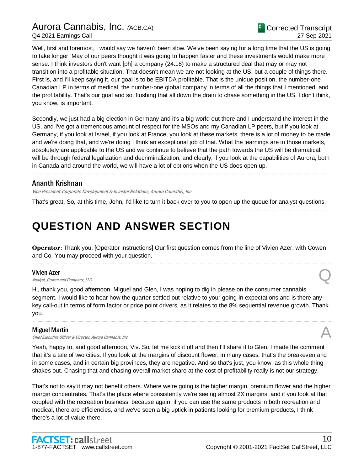Well, first and foremost, I would say we haven't been slow. We've been saying for a long time that the US is going to take longer. May of our peers thought it was going to happen faster and these investments would make more sense. I think investors don't want [ph] a company (24:18) to make a structured deal that may or may not transition into a profitable situation. That doesn't mean we are not looking at the US, but a couple of things there. First is, and I'll keep saying it, our goal is to be EBITDA profitable. That is the unique position, the number-one Canadian LP in terms of medical, the number-one global company in terms of all the things that I mentioned, and the profitability. That's our goal and so, flushing that all down the drain to chase something in the US, I don't think, you know, is important.

Secondly, we just had a big election in Germany and it's a big world out there and I understand the interest in the US, and I've got a tremendous amount of respect for the MSOs and my Canadian LP peers, but if you look at Germany, if you look at Israel, if you look at France, you look at these markets, there is a lot of money to be made and we're doing that, and we're doing I think an exceptional job of that. What the learnings are in those markets, absolutely are applicable to the US and we continue to believe that the path towards the US will be dramatical, will be through federal legalization and decriminalization, and clearly, if you look at the capabilities of Aurora, both in Canada and around the world, we will have a lot of options when the US does open up.

.....................................................................................................................................................................................................................................................................

## Ananth Krishnan

Vice President-Corporate Development & Investor Relations, Aurora Cannabis, Inc.

That's great. So, at this time, John, I'd like to turn it back over to you to open up the queue for analyst questions. .....................................................................................................................................................................................................................................................................

## **QUESTION AND ANSWER SECTION**

**Operator**: Thank you. [Operator Instructions] Our first question comes from the line of Vivien Azer, with Cowen and Co. You may proceed with your question.

.....................................................................................................................................................................................................................................................................

#### Vivien Azer

**Vivien Azer**<br>Analyst, Cowen and Company, LLC

Hi, thank you, good afternoon. Miguel and Glen, I was hoping to dig in please on the consumer cannabis segment. I would like to hear how the quarter settled out relative to your going-in expectations and is there any key call-out in terms of form factor or price point drivers, as it relates to the 8% sequential revenue growth. Thank you.

.....................................................................................................................................................................................................................................................................

### Miguel Martin

Chief Executive Officer & Director, Aurora Cannabis, Inc. A

Yeah, happy to, and good afternoon, Viv. So, let me kick it off and then I'll share it to Glen. I made the comment that it's a tale of two cities. If you look at the margins of discount flower, in many cases, that's the breakeven and in some cases, and in certain big provinces, they are negative. And so that's just, you know, as this whole thing shakes out. Chasing that and chasing overall market share at the cost of profitability really is not our strategy.

That's not to say it may not benefit others. Where we're going is the higher margin, premium flower and the higher margin concentrates. That's the place where consistently we're seeing almost 2X margins, and if you look at that coupled with the recreation business, because again, if you can use the same products in both recreation and medical, there are efficiencies, and we've seen a big uptick in patients looking for premium products, I think there's a lot of value there.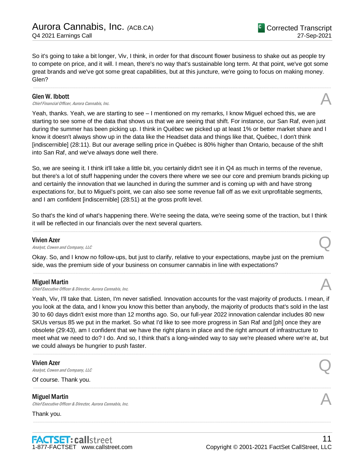So it's going to take a bit longer, Viv, I think, in order for that discount flower business to shake out as people try to compete on price, and it will. I mean, there's no way that's sustainable long term. At that point, we've got some great brands and we've got some great capabilities, but at this juncture, we're going to focus on making money. Glen?

.....................................................................................................................................................................................................................................................................

#### Glen W. Ibbott

**Glen W. Ibbott**  $\bigwedge$  Chief Financial Officer, Aurora Cannabis, Inc.

Yeah, thanks. Yeah, we are starting to see – I mentioned on my remarks, I know Miguel echoed this, we are starting to see some of the data that shows us that we are seeing that shift. For instance, our San Raf, even just during the summer has been picking up. I think in Québec we picked up at least 1% or better market share and I know it doesn't always show up in the data like the Headset data and things like that, Québec, I don't think [indiscernible] (28:11). But our average selling price in Québec is 80% higher than Ontario, because of the shift into San Raf, and we've always done well there.

So, we are seeing it. I think it'll take a little bit, you certainly didn't see it in Q4 as much in terms of the revenue, but there's a lot of stuff happening under the covers there where we see our core and premium brands picking up and certainly the innovation that we launched in during the summer and is coming up with and have strong expectations for, but to Miguel's point, we can also see some revenue fall off as we exit unprofitable segments, and I am confident [indiscernible] (28:51) at the gross profit level.

So that's the kind of what's happening there. We're seeing the data, we're seeing some of the traction, but I think it will be reflected in our financials over the next several quarters. .....................................................................................................................................................................................................................................................................

#### Vivien Azer

**Vivien Azer**<br>Analyst, Cowen and Company, LLC

Okay. So, and I know no follow-ups, but just to clarify, relative to your expectations, maybe just on the premium side, was the premium side of your business on consumer cannabis in line with expectations?

.....................................................................................................................................................................................................................................................................

#### Miguel Martin

**Miguel Martin**<br>Chief Executive Officer & Director, Aurora Cannabis, Inc.  $\mathcal{A}$ 

Yeah, Viv, I'll take that. Listen, I'm never satisfied. Innovation accounts for the vast majority of products. I mean, if you look at the data, and I know you know this better than anybody, the majority of products that's sold in the last 30 to 60 days didn't exist more than 12 months ago. So, our full-year 2022 innovation calendar includes 80 new SKUs versus 85 we put in the market. So what I'd like to see more progress in San Raf and [ph] once they are obsolete (29:43), am I confident that we have the right plans in place and the right amount of infrastructure to meet what we need to do? I do. And so, I think that's a long-winded way to say we're pleased where we're at, but we could always be hungrier to push faster.

.....................................................................................................................................................................................................................................................................

.....................................................................................................................................................................................................................................................................

.....................................................................................................................................................................................................................................................................

#### Vivien Azer

**Vivien Azer**<br>Analyst, Cowen and Company, LLC

Of course. Thank you.

#### Miguel Martin

**Miguel Martin**<br>Chief Executive Officer & Director, Aurora Cannabis, Inc.  $\mathcal{A}$ 

Thank you.

<sup>C</sup> Corrected Transcript

27-Sep-2021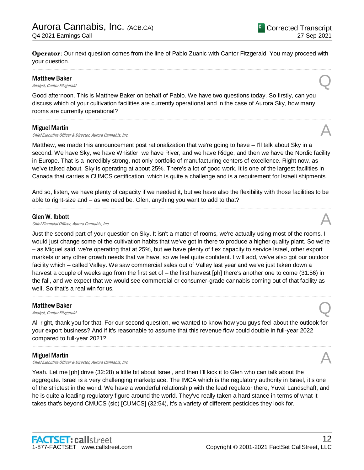**Operator**: Our next question comes from the line of Pablo Zuanic with Cantor Fitzgerald. You may proceed with your question. .....................................................................................................................................................................................................................................................................

#### Matthew Baker

**Matthew Baker**<br>Analyst, Cantor Fitzgerald **Q** 

Good afternoon. This is Matthew Baker on behalf of Pablo. We have two questions today. So firstly, can you discuss which of your cultivation facilities are currently operational and in the case of Aurora Sky, how many rooms are currently operational?

#### Miguel Martin

**Miguel Martin**<br>Chief Executive Officer & Director, Aurora Cannabis, Inc.  $\mathcal{A}$ 

Matthew, we made this announcement post rationalization that we're going to have – I'll talk about Sky in a second. We have Sky, we have Whistler, we have River, and we have Ridge, and then we have the Nordic facility in Europe. That is a incredibly strong, not only portfolio of manufacturing centers of excellence. Right now, as we've talked about, Sky is operating at about 25%. There's a lot of good work. It is one of the largest facilities in Canada that carries a CUMCS certification, which is quite a challenge and is a requirement for Israeli shipments.

.....................................................................................................................................................................................................................................................................

And so, listen, we have plenty of capacity if we needed it, but we have also the flexibility with those facilities to be able to right-size and – as we need be. Glen, anything you want to add to that? .....................................................................................................................................................................................................................................................................

#### Glen W. Ibbott

**Glen W. Ibbott**  $\bigwedge$  Chief Financial Officer, Aurora Cannabis, Inc.

Just the second part of your question on Sky. It isn't a matter of rooms, we're actually using most of the rooms. I would just change some of the cultivation habits that we've got in there to produce a higher quality plant. So we're – as Miguel said, we're operating that at 25%, but we have plenty of flex capacity to service Israel, other export markets or any other growth needs that we have, so we feel quite confident. I will add, we've also got our outdoor facility which – called Valley. We saw commercial sales out of Valley last year and we've just taken down a harvest a couple of weeks ago from the first set of – the first harvest [ph] there's another one to come (31:56) in the fall, and we expect that we would see commercial or consumer-grade cannabis coming out of that facility as well. So that's a real win for us.

.....................................................................................................................................................................................................................................................................

## Matthew Baker **Matthew Baker**<br>Analyst, Cantor Fitzgerald **Q**

All right, thank you for that. For our second question, we wanted to know how you guys feel about the outlook for your export business? And if it's reasonable to assume that this revenue flow could double in full-year 2022 compared to full-year 2021?

.....................................................................................................................................................................................................................................................................

#### Miguel Martin

Chief Executive Officer & Director, Aurora Cannabis, Inc.

Yeah. Let me [ph] drive (32:28) a little bit about Israel, and then I'll kick it to Glen who can talk about the aggregate. Israel is a very challenging marketplace. The IMCA which is the regulatory authority in Israel, it's one of the strictest in the world. We have a wonderful relationship with the lead regulator there, Yuval Landschaft, and he is quite a leading regulatory figure around the world. They've really taken a hard stance in terms of what it takes that's beyond CMUCS (sic) [CUMCS] (32:54), it's a variety of different pesticides they look for.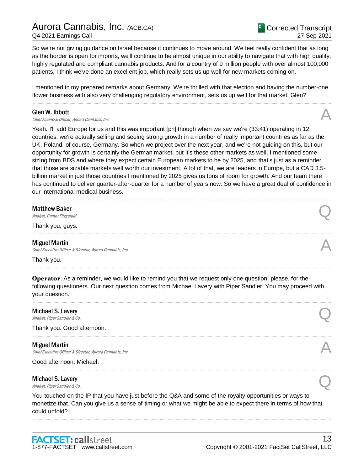So we're not giving guidance on Israel because it continues to move around. We feel really confident that as long as the border is open for imports, we'll continue to be almost unique in our ability to navigate that with high quality, highly regulated and compliant cannabis products. And for a country of 9 million people with over almost 100,000 patients, I think we've done an excellent job, which really sets us up well for new markets coming on.

I mentioned in my prepared remarks about Germany. We're thrilled with that election and having the number-one flower business with also very challenging regulatory environment, sets us up well for that market. Glen? .....................................................................................................................................................................................................................................................................

#### Glen W. Ibbott

**Glen W. Ibbott**  $\bigwedge$  Chief Financial Officer, Aurora Cannabis, Inc.

Yeah. I'll add Europe for us and this was important [ph] though when we say we're (33:41) operating in 12 countries, we're actually selling and seeing strong growth in a number of really important countries as far as the UK, Poland, of course, Germany. So when we project over the next year, and we're not guiding on this, but our opportunity for growth is certainly the German market, but it's these other markets as well. I mentioned some sizing from BDS and where they expect certain European markets to be by 2025, and that's just as a reminder that those are sizable markets well worth our investment. A lot of that, we are leaders in Europe, but a CAD 3.5 billion market in just those countries I mentioned by 2025 gives us tons of room for growth. And our team there has continued to deliver quarter-after-quarter for a number of years now. So we have a great deal of confidence in our international medical business.

.....................................................................................................................................................................................................................................................................

.....................................................................................................................................................................................................................................................................

.....................................................................................................................................................................................................................................................................

**Matthew Baker**<br>Analyst, Cantor Fitzgerald **Q** 

Thank you, guys.

#### Miguel Martin

Chief Executive Officer & Director, Aurora Cannabis, Inc.

Thank you.

**Operator**: As a reminder, we would like to remind you that we request only one question, please, for the following questioners. Our next question comes from Michael Lavery with Piper Sandler. You may proceed with your question.

.....................................................................................................................................................................................................................................................................

.....................................................................................................................................................................................................................................................................

.....................................................................................................................................................................................................................................................................

## Michael S. Lavery **Michael S. Lavery**<br>Analyst, Piper Sandler & Co.

Thank you. Good afternoon.

#### Miguel Martin

**Miguel Martin**<br>Chief Executive Officer & Director, Aurora Cannabis, Inc. **Annulla Constant Constant Constant Constant Constant** 

Good afternoon, Michael.

## Michael S. Lavery **Michael S. Lavery**<br>Analyst, Piper Sandler & Co.

You touched on the IP that you have just before the Q&A and some of the royalty opportunities or ways to monetize that. Can you give us a sense of timing or what we might be able to expect there in terms of how that could unfold?

.....................................................................................................................................................................................................................................................................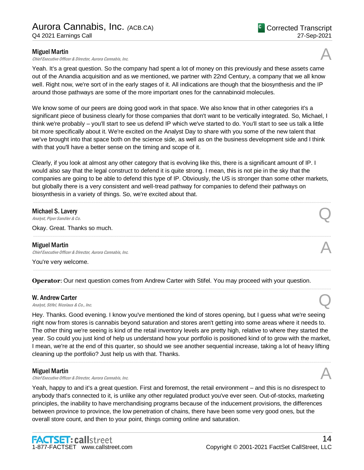#### Miguel Martin

Chief Executive Officer & Director, Aurora Cannabis, Inc.

Yeah. It's a great question. So the company had spent a lot of money on this previously and these assets came out of the Anandia acquisition and as we mentioned, we partner with 22nd Century, a company that we all know well. Right now, we're sort of in the early stages of it. All indications are though that the biosynthesis and the IP around those pathways are some of the more important ones for the cannabinoid molecules.

We know some of our peers are doing good work in that space. We also know that in other categories it's a significant piece of business clearly for those companies that don't want to be vertically integrated. So, Michael, I think we're probably – you'll start to see us defend IP which we've started to do. You'll start to see us talk a little bit more specifically about it. We're excited on the Analyst Day to share with you some of the new talent that we've brought into that space both on the science side, as well as on the business development side and I think with that you'll have a better sense on the timing and scope of it.

Clearly, if you look at almost any other category that is evolving like this, there is a significant amount of IP. I would also say that the legal construct to defend it is quite strong. I mean, this is not pie in the sky that the companies are going to be able to defend this type of IP. Obviously, the US is stronger than some other markets, but globally there is a very consistent and well-tread pathway for companies to defend their pathways on biosynthesis in a variety of things. So, we're excited about that.

.....................................................................................................................................................................................................................................................................

.....................................................................................................................................................................................................................................................................

.....................................................................................................................................................................................................................................................................

.....................................................................................................................................................................................................................................................................

## Michael S. Lavery **Michael S. Lavery**<br>Analyst, Piper Sandler & Co.

Okay. Great. Thanks so much.

#### Miguel Martin

Chief Executive Officer & Director, Aurora Cannabis, Inc.

You're very welcome.

**Operator**: Our next question comes from Andrew Carter with Stifel. You may proceed with your question.

#### W. Andrew Carter

**W. Andrew Carter Quarter Canalyst** Stifel, Nicolaus & Co., Inc. **Q** 

Hey. Thanks. Good evening. I know you've mentioned the kind of stores opening, but I guess what we're seeing right now from stores is cannabis beyond saturation and stores aren't getting into some areas where it needs to. The other thing we're seeing is kind of the retail inventory levels are pretty high, relative to where they started the year. So could you just kind of help us understand how your portfolio is positioned kind of to grow with the market, I mean, we're at the end of this quarter, so should we see another sequential increase, taking a lot of heavy lifting cleaning up the portfolio? Just help us with that. Thanks.

.....................................................................................................................................................................................................................................................................

#### Miguel Martin

**Miguel Martin**<br>Chief Executive Officer & Director, Aurora Cannabis, Inc.  $\mathcal{A}$ 

Yeah, happy to and it's a great question. First and foremost, the retail environment – and this is no disrespect to anybody that's connected to it, is unlike any other regulated product you've ever seen. Out-of-stocks, marketing principles, the inability to have merchandising programs because of the inducement provisions, the differences between province to province, the low penetration of chains, there have been some very good ones, but the overall store count, and then to your point, things coming online and saturation.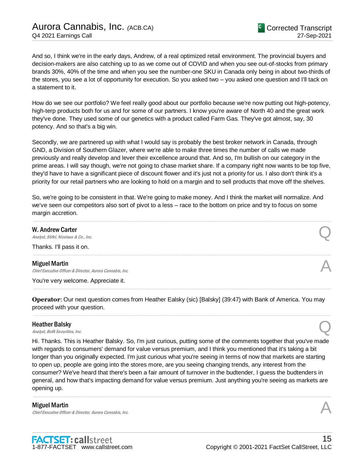And so, I think we're in the early days, Andrew, of a real optimized retail environment. The provincial buyers and decision-makers are also catching up to as we come out of COVID and when you see out-of-stocks from primary brands 30%, 40% of the time and when you see the number-one SKU in Canada only being in about two-thirds of the stores, you see a lot of opportunity for execution. So you asked two – you asked one question and I'll tack on a statement to it.

How do we see our portfolio? We feel really good about our portfolio because we're now putting out high-potency, high-terp products both for us and for some of our partners. I know you're aware of North 40 and the great work they've done. They used some of our genetics with a product called Farm Gas. They've got almost, say, 30 potency. And so that's a big win.

Secondly, we are partnered up with what I would say is probably the best broker network in Canada, through GND, a Division of Southern Glazer, where we're able to make three times the number of calls we made previously and really develop and lever their excellence around that. And so, I'm bullish on our category in the prime areas. I will say though, we're not going to chase market share. If a company right now wants to be top five, they'd have to have a significant piece of discount flower and it's just not a priority for us. I also don't think it's a priority for our retail partners who are looking to hold on a margin and to sell products that move off the shelves.

So, we're going to be consistent in that. We're going to make money. And I think the market will normalize. And we've seen our competitors also sort of pivot to a less – race to the bottom on price and try to focus on some margin accretion.

.....................................................................................................................................................................................................................................................................

.....................................................................................................................................................................................................................................................................

#### W. Andrew Carter

**W. Andrew Carter Carter**  $\overline{Q}$ 

Thanks. I'll pass it on.

#### Miguel Martin

Chief Executive Officer & Director, Aurora Cannabis, Inc.

You're very welcome. Appreciate it.

**Operator**: Our next question comes from Heather Ealsky (sic) [Balsky] (39:47) with Bank of America. You may proceed with your question.

.....................................................................................................................................................................................................................................................................

.....................................................................................................................................................................................................................................................................

#### Heather Balsky

**Heather Balsky**<br>Analyst, BofA Securities, Inc.  $\bigotimes$ 

Hi. Thanks. This is Heather Balsky. So, I'm just curious, putting some of the comments together that you've made with regards to consumers' demand for value versus premium, and I think you mentioned that it's taking a bit longer than you originally expected. I'm just curious what you're seeing in terms of now that markets are starting to open up, people are going into the stores more, are you seeing changing trends, any interest from the consumer? We've heard that there's been a fair amount of turnover in the budtender, I guess the budtenders in general, and how that's impacting demand for value versus premium. Just anything you're seeing as markets are opening up.

.....................................................................................................................................................................................................................................................................

#### Miguel Martin

**Miguel Martin**<br>Chief Executive Officer & Director, Aurora Cannabis, Inc. **Annulla Constant Constant Constant Constant Constant**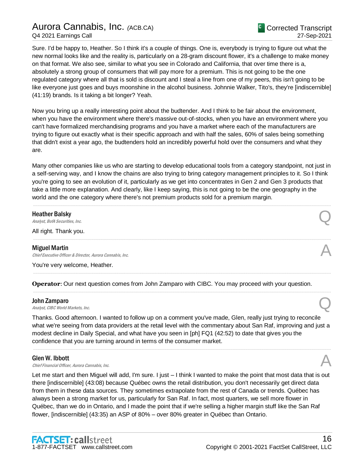Sure. I'd be happy to, Heather. So I think it's a couple of things. One is, everybody is trying to figure out what the new normal looks like and the reality is, particularly on a 28-gram discount flower, it's a challenge to make money on that format. We also see, similar to what you see in Colorado and California, that over time there is a, absolutely a strong group of consumers that will pay more for a premium. This is not going to be the one regulated category where all that is sold is discount and I steal a line from one of my peers, this isn't going to be like everyone just goes and buys moonshine in the alcohol business. Johnnie Walker, Tito's, they're [indiscernible] (41:19) brands. Is it taking a bit longer? Yeah.

Now you bring up a really interesting point about the budtender. And I think to be fair about the environment, when you have the environment where there's massive out-of-stocks, when you have an environment where you can't have formalized merchandising programs and you have a market where each of the manufacturers are trying to figure out exactly what is their specific approach and with half the sales, 60% of sales being something that didn't exist a year ago, the budtenders hold an incredibly powerful hold over the consumers and what they are.

Many other companies like us who are starting to develop educational tools from a category standpoint, not just in a self-serving way, and I know the chains are also trying to bring category management principles to it. So I think you're going to see an evolution of it, particularly as we get into concentrates in Gen 2 and Gen 3 products that take a little more explanation. And clearly, like I keep saying, this is not going to be the one geography in the world and the one category where there's not premium products sold for a premium margin.

.....................................................................................................................................................................................................................................................................

#### Heather Balsky

**Heather Balsky**<br>Analyst, BofA Securities, Inc.  $\bigotimes$ 

All right. Thank you. .....................................................................................................................................................................................................................................................................

#### Miguel Martin

Chief Executive Officer & Director, Aurora Cannabis, Inc.

You're very welcome, Heather.

**Operator**: Our next question comes from John Zamparo with CIBC. You may proceed with your question.

#### John Zamparo

**John Zamparo**<br>Analyst, CIBC World Markets, Inc.  $\mathbb{Q}$ 

Thanks. Good afternoon. I wanted to follow up on a comment you've made, Glen, really just trying to reconcile what we're seeing from data providers at the retail level with the commentary about San Raf, improving and just a modest decline in Daily Special, and what have you seen in [ph] FQ1 (42:52) to date that gives you the confidence that you are turning around in terms of the consumer market.

.....................................................................................................................................................................................................................................................................

.....................................................................................................................................................................................................................................................................

.....................................................................................................................................................................................................................................................................

#### Glen W. Ibbott

**Glen W. Ibbott**  $\bigcap_{\text{Chief Financial Officer}, \text{ Aurora Camabis, Inc.}}$ 

Let me start and then Miguel will add, I'm sure. I just – I think I wanted to make the point that most data that is out there [indiscernible] (43:08) because Québec owns the retail distribution, you don't necessarily get direct data from them in these data sources. They sometimes extrapolate from the rest of Canada or trends. Québec has always been a strong market for us, particularly for San Raf. In fact, most quarters, we sell more flower in Québec, than we do in Ontario, and I made the point that if we're selling a higher margin stuff like the San Raf flower, [indiscernible] (43:35) an ASP of 80% – over 80% greater in Québec than Ontario.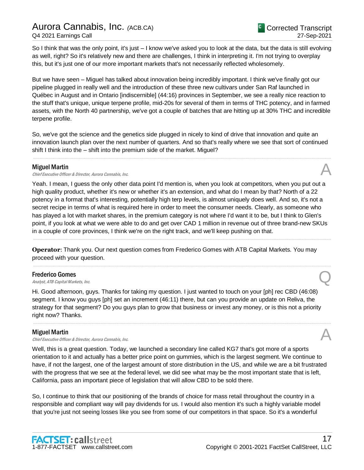So I think that was the only point, it's just – I know we've asked you to look at the data, but the data is still evolving as well, right? So it's relatively new and there are challenges, I think in interpreting it. I'm not trying to overplay this, but it's just one of our more important markets that's not necessarily reflected wholesomely.

But we have seen – Miguel has talked about innovation being incredibly important. I think we've finally got our pipeline plugged in really well and the introduction of these three new cultivars under San Raf launched in Québec in August and in Ontario [indiscernible] (44:16) provinces in September, we see a really nice reaction to the stuff that's unique, unique terpene profile, mid-20s for several of them in terms of THC potency, and in farmed assets, with the North 40 partnership, we've got a couple of batches that are hitting up at 30% THC and incredible terpene profile.

So, we've got the science and the genetics side plugged in nicely to kind of drive that innovation and quite an innovation launch plan over the next number of quarters. And so that's really where we see that sort of continued shift I think into the – shift into the premium side of the market. Miguel?

.....................................................................................................................................................................................................................................................................

#### Miguel Martin

**Miguel Martin**<br>Chief Executive Officer & Director, Aurora Cannabis, Inc.  $\mathcal{A}$ 

Yeah. I mean, I guess the only other data point I'd mention is, when you look at competitors, when you put out a high quality product, whether it's new or whether it's an extension, and what do I mean by that? North of a 22 potency in a format that's interesting, potentially high terp levels, is almost uniquely does well. And so, it's not a secret recipe in terms of what is required here in order to meet the consumer needs. Clearly, as someone who has played a lot with market shares, in the premium category is not where I'd want it to be, but I think to Glen's point, if you look at what we were able to do and get over CAD 1 million in revenue out of three brand-new SKUs in a couple of core provinces, I think we're on the right track, and we'll keep pushing on that.

.....................................................................................................................................................................................................................................................................

.....................................................................................................................................................................................................................................................................

**Operator**: Thank you. Our next question comes from Frederico Gomes with ATB Capital Markets. You may proceed with your question.

#### Frederico Gomes

**Frederico Gomes**<br>Analyst, ATB Capital Markets, Inc.  $\bigotimes$ 

Hi. Good afternoon, guys. Thanks for taking my question. I just wanted to touch on your [ph] rec CBD (46:08) segment. I know you guys [ph] set an increment (46:11) there, but can you provide an update on Reliva, the strategy for that segment? Do you guys plan to grow that business or invest any money, or is this not a priority right now? Thanks.

.....................................................................................................................................................................................................................................................................

#### Miguel Martin

Chief Executive Officer & Director, Aurora Cannabis, Inc.

Well, this is a great question. Today, we launched a secondary line called KG7 that's got more of a sports orientation to it and actually has a better price point on gummies, which is the largest segment. We continue to have, if not the largest, one of the largest amount of store distribution in the US, and while we are a bit frustrated with the progress that we see at the federal level, we did see what may be the most important state that is left, California, pass an important piece of legislation that will allow CBD to be sold there.

So, I continue to think that our positioning of the brands of choice for mass retail throughout the country in a responsible and compliant way will pay dividends for us. I would also mention it's such a highly variable model that you're just not seeing losses like you see from some of our competitors in that space. So it's a wonderful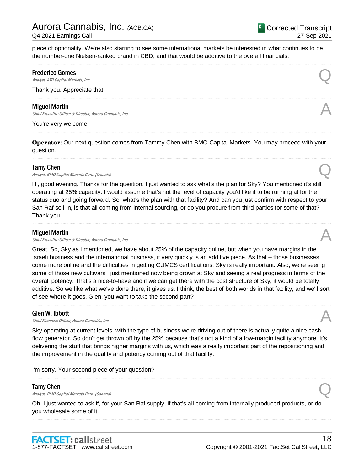piece of optionality. We're also starting to see some international markets be interested in what continues to be the number-one Nielsen-ranked brand in CBD, and that would be additive to the overall financials.

.....................................................................................................................................................................................................................................................................

.....................................................................................................................................................................................................................................................................

#### Frederico Gomes

**Frederico Gomes**<br>Analyst, ATB Capital Markets, Inc.  $\bigotimes$ 

Thank you. Appreciate that.

#### Miguel Martin

**Miguel Martin**<br>Chief Executive Officer & Director, Aurora Cannabis, Inc. **Annulla Constant Constant Constant Constant Constant** 

You're very welcome.

**Operator**: Our next question comes from Tammy Chen with BMO Capital Markets. You may proceed with your question.

.....................................................................................................................................................................................................................................................................

.....................................................................................................................................................................................................................................................................

#### Tamy Chen

**Tamy Chen**<br>Analyst, BMO Capital Markets Corp. (Canada)  $\mathbb{Q}$ 

Hi, good evening. Thanks for the question. I just wanted to ask what's the plan for Sky? You mentioned it's still operating at 25% capacity. I would assume that's not the level of capacity you'd like it to be running at for the status quo and going forward. So, what's the plan with that facility? And can you just confirm with respect to your San Raf sell-in, is that all coming from internal sourcing, or do you procure from third parties for some of that? Thank you.

.....................................................................................................................................................................................................................................................................

#### Miguel Martin

**Miguel Martin**<br>Chief Executive Officer & Director, Aurora Cannabis, Inc.  $\mathcal{A}$ 

Great. So, Sky as I mentioned, we have about 25% of the capacity online, but when you have margins in the Israeli business and the international business, it very quickly is an additive piece. As that – those businesses come more online and the difficulties in getting CUMCS certifications, Sky is really important. Also, we're seeing some of those new cultivars I just mentioned now being grown at Sky and seeing a real progress in terms of the overall potency. That's a nice-to-have and if we can get there with the cost structure of Sky, it would be totally additive. So we like what we've done there, it gives us, I think, the best of both worlds in that facility, and we'll sort of see where it goes. Glen, you want to take the second part?

.....................................................................................................................................................................................................................................................................

#### Glen W. Ibbott

**Glen W. Ibbott**  $\bigcap_{\text{Chief Financial Officer}, \text{ Aurora Camabis, Inc.}}$ 

Sky operating at current levels, with the type of business we're driving out of there is actually quite a nice cash flow generator. So don't get thrown off by the 25% because that's not a kind of a low-margin facility anymore. It's delivering the stuff that brings higher margins with us, which was a really important part of the repositioning and the improvement in the quality and potency coming out of that facility.

.....................................................................................................................................................................................................................................................................

I'm sorry. Your second piece of your question?

#### Tamy Chen

**Tamy Chen**<br>Analyst, BMO Capital Markets Corp. (Canada)  $\mathbb{Q}$ 

Oh, I just wanted to ask if, for your San Raf supply, if that's all coming from internally produced products, or do you wholesale some of it.

.....................................................................................................................................................................................................................................................................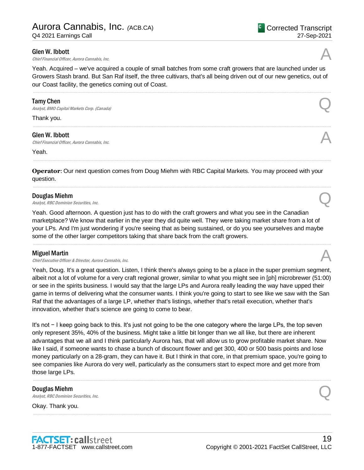#### Glen W. Ibbott

**Glen W. Ibbott**  $\bigcap_{\text{Chief Financial Officer}, \text{ Aurora Camabis, Inc.}}$ 

Yeah. Acquired – we've acquired a couple of small batches from some craft growers that are launched under us Growers Stash brand. But San Raf itself, the three cultivars, that's all being driven out of our new genetics, out of our Coast facility, the genetics coming out of Coast.

.....................................................................................................................................................................................................................................................................

.....................................................................................................................................................................................................................................................................

.....................................................................................................................................................................................................................................................................

.....................................................................................................................................................................................................................................................................

#### Tamy Chen

**Tamy Chen**<br>Analyst, BMO Capital Markets Corp. (Canada)  $\mathbb{Q}$ 

Thank you.

#### Glen W. Ibbott

**Glen W. Ibbott**  $\bigcap_{\text{Chief Financial Officer}, \text{ Aurora Camabis, Inc.}}$ 

Yeah.

**Operator**: Our next question comes from Doug Miehm with RBC Capital Markets. You may proceed with your question.

#### Douglas Miehm

**Douglas Miehm**<br>Analyst, RBC Dominion Securities, Inc.  $\bigotimes$ 

Yeah. Good afternoon. A question just has to do with the craft growers and what you see in the Canadian marketplace? We know that earlier in the year they did quite well. They were taking market share from a lot of your LPs. And I'm just wondering if you're seeing that as being sustained, or do you see yourselves and maybe some of the other larger competitors taking that share back from the craft growers.

.....................................................................................................................................................................................................................................................................

#### Miguel Martin

Chief Executive Officer & Director, Aurora Cannabis, Inc.

Yeah, Doug. It's a great question. Listen, I think there's always going to be a place in the super premium segment, albeit not a lot of volume for a very craft regional grower, similar to what you might see in [ph] microbrewer (51:00) or see in the spirits business. I would say that the large LPs and Aurora really leading the way have upped their game in terms of delivering what the consumer wants. I think you're going to start to see like we saw with the San Raf that the advantages of a large LP, whether that's listings, whether that's retail execution, whether that's innovation, whether that's science are going to come to bear.

It's not − I keep going back to this. It's just not going to be the one category where the large LPs, the top seven only represent 35%, 40% of the business. Might take a little bit longer than we all like, but there are inherent advantages that we all and I think particularly Aurora has, that will allow us to grow profitable market share. Now like I said, if someone wants to chase a bunch of discount flower and get 300, 400 or 500 basis points and lose money particularly on a 28-gram, they can have it. But I think in that core, in that premium space, you're going to see companies like Aurora do very well, particularly as the consumers start to expect more and get more from those large LPs.

.....................................................................................................................................................................................................................................................................

.....................................................................................................................................................................................................................................................................

#### Douglas Miehm

**Douglas Miehm**<br>Analyst, RBC Dominion Securities, Inc.  $\mathbb{Q}$ 

Okay. Thank you.



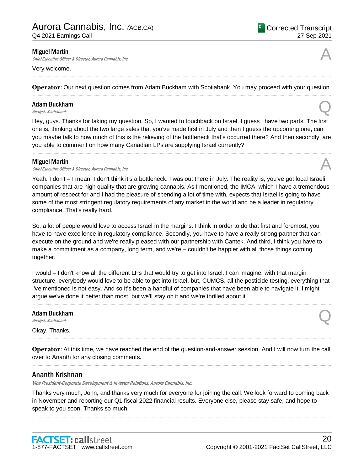#### Miguel Martin

Chief Executive Officer & Director, Aurora Cannabis, Inc.

#### Very welcome.

..................................................................................................................................................................................................................................................................... **Operator**: Our next question comes from Adam Buckham with Scotiabank. You may proceed with your question. .....................................................................................................................................................................................................................................................................

## Adam Buckham **Adam Buckham**<br>
Analyst, Scotiabank **Q**

Hey, guys. Thanks for taking my question. So, I wanted to touchback on Israel. I guess I have two parts. The first one is, thinking about the two large sales that you've made first in July and then I guess the upcoming one, can you maybe talk to how much of this is the relieving of the bottleneck that's occurred there? And then secondly, are you able to comment on how many Canadian LPs are supplying Israel currently?

.....................................................................................................................................................................................................................................................................

#### Miguel Martin

**Miguel Martin**<br>Chief Executive Officer & Director, Aurora Cannabis, Inc. **Annulla Constant Constant Constant Constant Constant** 

Yeah. I don't – I mean, I don't think it's a bottleneck. I was out there in July. The reality is, you've got local Israeli companies that are high quality that are growing cannabis. As I mentioned, the IMCA, which I have a tremendous amount of respect for and I had the pleasure of spending a lot of time with, expects that Israel is going to have some of the most stringent regulatory requirements of any market in the world and be a leader in regulatory compliance. That's really hard.

So, a lot of people would love to access Israel in the margins. I think in order to do that first and foremost, you have to have excellence in regulatory compliance. Secondly, you have to have a really strong partner that can execute on the ground and we're really pleased with our partnership with Cantek. And third, I think you have to make a commitment as a company, long term, and we're – couldn't be happier with all those things coming together.

I would – I don't know all the different LPs that would try to get into Israel. I can imagine, with that margin structure, everybody would love to be able to get into Israel, but, CUMCS, all the pesticide testing, everything that I've mentioned is not easy. And so it's been a handful of companies that have been able to navigate it. I might argue we've done it better than most, but we'll stay on it and we're thrilled about it.

.....................................................................................................................................................................................................................................................................

Adam Buckham Adam Buckham<br>
Analyst, Scotiabank  $\bigotimes$ 

Okay. Thanks.

**Operator**: At this time, we have reached the end of the question-and-answer session. And I will now turn the call over to Ananth for any closing comments. .....................................................................................................................................................................................................................................................................

.....................................................................................................................................................................................................................................................................

## Ananth Krishnan

Vice President-Corporate Development & Investor Relations, Aurora Cannabis, Inc.

Thanks very much, John, and thanks very much for everyone for joining the call. We look forward to coming back in November and reporting our Q1 fiscal 2022 financial results. Everyone else, please stay safe, and hope to speak to you soon. Thanks so much.

.....................................................................................................................................................................................................................................................................